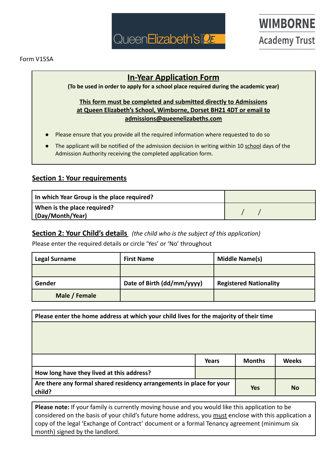

# **WIMBORNE Academy Trust**

### **In-Year Application Form**

**(To be used in order to apply for a school place required during the academic year)**

### **This form must be completed and submitted directly to Admissions at Queen Elizabeth's School, Wimborne, Dorset BH21 4DT or email to admissions@queenelizabeths.com**

- Please ensure that you provide all the required information where requested to do so
- The applicant will be notified of the admission decision in writing within 10 school days of the Admission Authority receiving the completed application form.

### **Section 1: Your requirements**

| In which Year Group is the place required?      |  |
|-------------------------------------------------|--|
| When is the place required?<br>(Day/Month/Year) |  |

#### **Section 2: Your Child's details** *(the child who is the subject of this application)*

Please enter the required details or circle 'Yes' or 'No' throughout

| <b>Legal Surname</b> | <b>First Name</b>          | <b>Middle Name(s)</b>         |
|----------------------|----------------------------|-------------------------------|
|                      |                            |                               |
| Gender               | Date of Birth (dd/mm/yyyy) | <b>Registered Nationality</b> |
| Male / Female        |                            |                               |

| Please enter the home address at which your child lives for the majority of their time                    |       |               |              |
|-----------------------------------------------------------------------------------------------------------|-------|---------------|--------------|
|                                                                                                           |       |               |              |
|                                                                                                           |       |               |              |
|                                                                                                           |       |               |              |
|                                                                                                           | Years | <b>Months</b> | <b>Weeks</b> |
| How long have they lived at this address?                                                                 |       |               |              |
| Are there any formal shared residency arrangements in place for your<br><b>Yes</b><br><b>No</b><br>child? |       |               |              |

**Please note:** If your family is currently moving house and you would like this application to be considered on the basis of your child's future home address, you must enclose with this application a copy of the legal 'Exchange of Contract' document or a formal Tenancy agreement (minimum six month) signed by the landlord.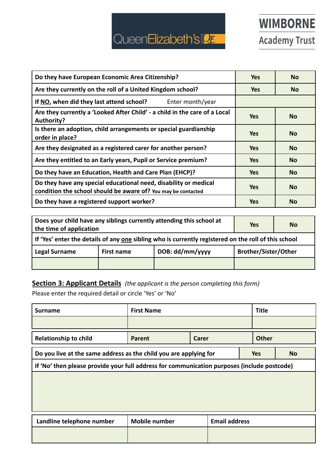# QueenElizabeth's

| Do they have European Economic Area Citizenship?                                                                                  | <b>Yes</b> | <b>No</b> |
|-----------------------------------------------------------------------------------------------------------------------------------|------------|-----------|
| Are they currently on the roll of a United Kingdom school?                                                                        | <b>Yes</b> | No.       |
| If NO, when did they last attend school?<br>Enter month/year                                                                      |            |           |
| Are they currently a 'Looked After Child' - a child in the care of a Local<br>Authority?                                          | <b>Yes</b> | <b>No</b> |
| Is there an adoption, child arrangements or special guardianship<br>order in place?                                               | <b>Yes</b> | <b>No</b> |
| Are they designated as a registered carer for another person?                                                                     | <b>Yes</b> | <b>No</b> |
| Are they entitled to an Early years, Pupil or Service premium?                                                                    | <b>Yes</b> | <b>No</b> |
| Do they have an Education, Health and Care Plan (EHCP)?                                                                           | <b>Yes</b> | <b>No</b> |
| Do they have any special educational need, disability or medical<br>condition the school should be aware of? You may be contacted | <b>Yes</b> | <b>No</b> |
| Do they have a registered support worker?                                                                                         | <b>Yes</b> | <b>No</b> |

| Does your child have any siblings currently attending this school at<br>the time of application      |            |                 | <b>Yes</b>                  | No |
|------------------------------------------------------------------------------------------------------|------------|-----------------|-----------------------------|----|
| If 'Yes' enter the details of any one sibling who is currently registered on the roll of this school |            |                 |                             |    |
| <b>Legal Surname</b>                                                                                 | First name | DOB: dd/mm/yyyy | <b>Brother/Sister/Other</b> |    |
|                                                                                                      |            |                 |                             |    |

## **Section 3: Applicant Details** *(the applicant is the person completing this form)*

Please enter the required detail or circle 'Yes' or 'No'

| <b>Surname</b>                                                                               | <b>First Name</b>    |                      |  | <b>Title</b> |  |
|----------------------------------------------------------------------------------------------|----------------------|----------------------|--|--------------|--|
|                                                                                              |                      |                      |  |              |  |
| <b>Relationship to child</b>                                                                 | Parent               | Carer                |  | <b>Other</b> |  |
| Do you live at the same address as the child you are applying for<br><b>Yes</b><br><b>No</b> |                      |                      |  |              |  |
| If 'No' then please provide your full address for communication purposes (include postcode)  |                      |                      |  |              |  |
|                                                                                              |                      |                      |  |              |  |
|                                                                                              |                      |                      |  |              |  |
|                                                                                              |                      |                      |  |              |  |
| Landline telephone number                                                                    | <b>Mobile number</b> | <b>Email address</b> |  |              |  |